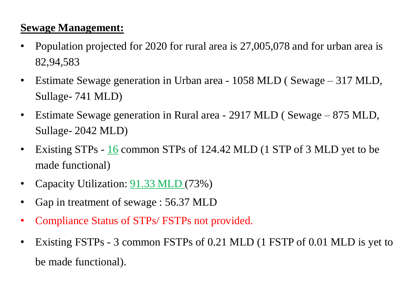#### **Sewage Management:**

- Population projected for 2020 for rural area is 27,005,078 and for urban area is 82,94,583
- Estimate Sewage generation in Urban area 1058 MLD ( Sewage 317 MLD, Sullage- 741 MLD)
- Estimate Sewage generation in Rural area 2917 MLD ( Sewage 875 MLD, Sullage- 2042 MLD)
- Existing STPs 16 common STPs of 124.42 MLD (1 STP of 3 MLD yet to be made functional)
- Capacity Utilization: **91.33 MLD** (73%)
- Gap in treatment of sewage : 56.37 MLD
- Compliance Status of STPs/ FSTPs not provided.
- Existing FSTPs 3 common FSTPs of 0.21 MLD (1 FSTP of 0.01 MLD is yet to be made functional).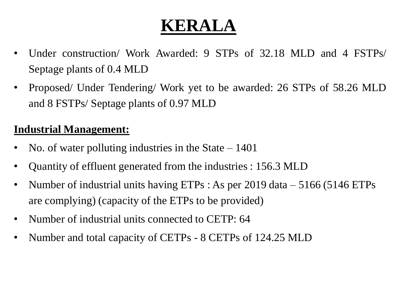- Under construction/ Work Awarded: 9 STPs of 32.18 MLD and 4 FSTPs/ Septage plants of 0.4 MLD
- Proposed/ Under Tendering/ Work yet to be awarded: 26 STPs of 58.26 MLD and 8 FSTPs/ Septage plants of 0.97 MLD

#### **Industrial Management:**

- No. of water polluting industries in the State  $-1401$
- Quantity of effluent generated from the industries : 156.3 MLD
- Number of industrial units having ETPs : As per 2019 data 5166 (5146 ETPs are complying) (capacity of the ETPs to be provided)
- Number of industrial units connected to CETP: 64
- Number and total capacity of CETPs 8 CETPs of 124.25 MLD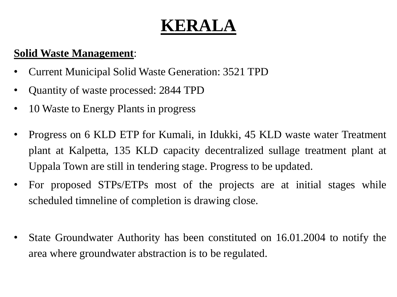#### **Solid Waste Management**:

- Current Municipal Solid Waste Generation: 3521 TPD
- Quantity of waste processed: 2844 TPD
- 10 Waste to Energy Plants in progress
- Progress on 6 KLD ETP for Kumali, in Idukki, 45 KLD waste water Treatment plant at Kalpetta, 135 KLD capacity decentralized sullage treatment plant at Uppala Town are still in tendering stage. Progress to be updated.
- For proposed STPs/ETPs most of the projects are at initial stages while scheduled timneline of completion is drawing close.
- State Groundwater Authority has been constituted on 16.01.2004 to notify the area where groundwater abstraction is to be regulated.